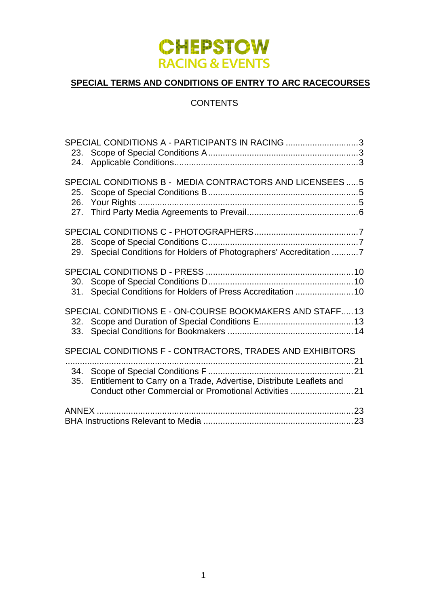

# **SPECIAL TERMS AND CONDITIONS OF ENTRY TO ARC RACECOURSES**

# **CONTENTS**

| SPECIAL CONDITIONS A - PARTICIPANTS IN RACING 3<br>23.<br>24.                                                                              |
|--------------------------------------------------------------------------------------------------------------------------------------------|
| SPECIAL CONDITIONS B - MEDIA CONTRACTORS AND LICENSEES  5<br>25.<br>26.                                                                    |
| 28.<br>Special Conditions for Holders of Photographers' Accreditation 7<br>29.                                                             |
| 30.<br>Special Conditions for Holders of Press Accreditation  10<br>31.                                                                    |
| SPECIAL CONDITIONS E - ON-COURSE BOOKMAKERS AND STAFF13<br>32.<br>33.                                                                      |
| SPECIAL CONDITIONS F - CONTRACTORS, TRADES AND EXHIBITORS                                                                                  |
| 34.<br>Entitlement to Carry on a Trade, Advertise, Distribute Leaflets and<br>35.<br>Conduct other Commercial or Promotional Activities 21 |
|                                                                                                                                            |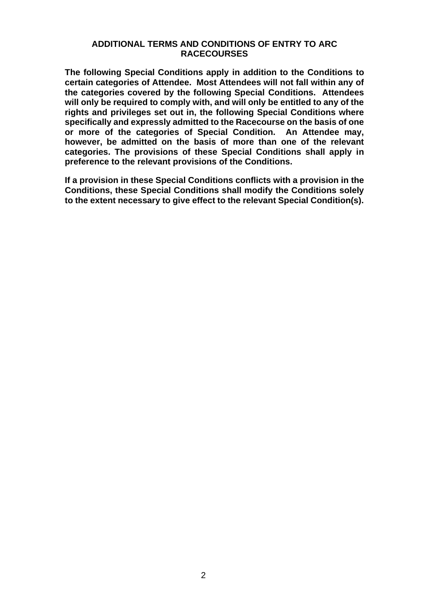#### **ADDITIONAL TERMS AND CONDITIONS OF ENTRY TO ARC RACECOURSES**

**The following Special Conditions apply in addition to the Conditions to certain categories of Attendee. Most Attendees will not fall within any of the categories covered by the following Special Conditions. Attendees will only be required to comply with, and will only be entitled to any of the rights and privileges set out in, the following Special Conditions where specifically and expressly admitted to the Racecourse on the basis of one or more of the categories of Special Condition. An Attendee may, however, be admitted on the basis of more than one of the relevant categories. The provisions of these Special Conditions shall apply in preference to the relevant provisions of the Conditions.** 

**If a provision in these Special Conditions conflicts with a provision in the Conditions, these Special Conditions shall modify the Conditions solely to the extent necessary to give effect to the relevant Special Condition(s).**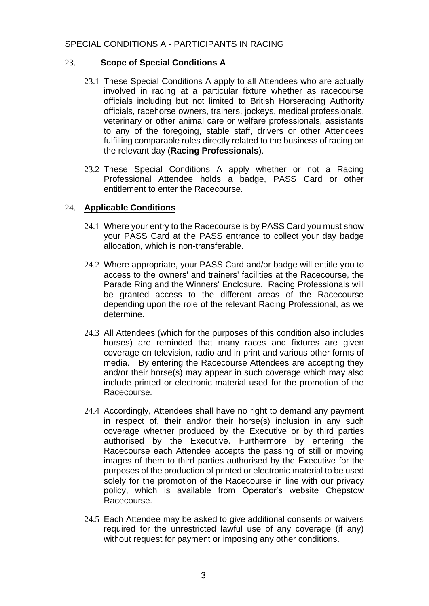## <span id="page-2-0"></span>SPECIAL CONDITIONS A - PARTICIPANTS IN RACING

## <span id="page-2-1"></span>23. **Scope of Special Conditions A**

- 23.1 These Special Conditions A apply to all Attendees who are actually involved in racing at a particular fixture whether as racecourse officials including but not limited to British Horseracing Authority officials, racehorse owners, trainers, jockeys, medical professionals, veterinary or other animal care or welfare professionals, assistants to any of the foregoing, stable staff, drivers or other Attendees fulfilling comparable roles directly related to the business of racing on the relevant day (**Racing Professionals**).
- 23.2 These Special Conditions A apply whether or not a Racing Professional Attendee holds a badge, PASS Card or other entitlement to enter the Racecourse.

## <span id="page-2-2"></span>24. **Applicable Conditions**

- 24.1 Where your entry to the Racecourse is by PASS Card you must show your PASS Card at the PASS entrance to collect your day badge allocation, which is non-transferable.
- 24.2 Where appropriate, your PASS Card and/or badge will entitle you to access to the owners' and trainers' facilities at the Racecourse, the Parade Ring and the Winners' Enclosure. Racing Professionals will be granted access to the different areas of the Racecourse depending upon the role of the relevant Racing Professional, as we determine.
- 24.3 All Attendees (which for the purposes of this condition also includes horses) are reminded that many races and fixtures are given coverage on television, radio and in print and various other forms of media. By entering the Racecourse Attendees are accepting they and/or their horse(s) may appear in such coverage which may also include printed or electronic material used for the promotion of the Racecourse.
- 24.4 Accordingly, Attendees shall have no right to demand any payment in respect of, their and/or their horse(s) inclusion in any such coverage whether produced by the Executive or by third parties authorised by the Executive. Furthermore by entering the Racecourse each Attendee accepts the passing of still or moving images of them to third parties authorised by the Executive for the purposes of the production of printed or electronic material to be used solely for the promotion of the Racecourse in line with our privacy policy, which is available from Operator's website Chepstow Racecourse.
- 24.5 Each Attendee may be asked to give additional consents or waivers required for the unrestricted lawful use of any coverage (if any) without request for payment or imposing any other conditions.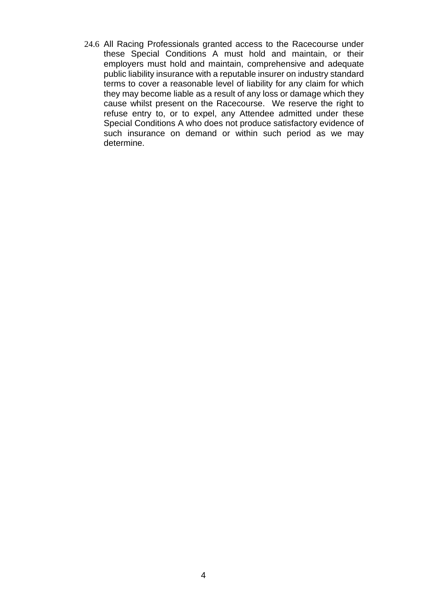24.6 All Racing Professionals granted access to the Racecourse under these Special Conditions A must hold and maintain, or their employers must hold and maintain, comprehensive and adequate public liability insurance with a reputable insurer on industry standard terms to cover a reasonable level of liability for any claim for which they may become liable as a result of any loss or damage which they cause whilst present on the Racecourse. We reserve the right to refuse entry to, or to expel, any Attendee admitted under these Special Conditions A who does not produce satisfactory evidence of such insurance on demand or within such period as we may determine.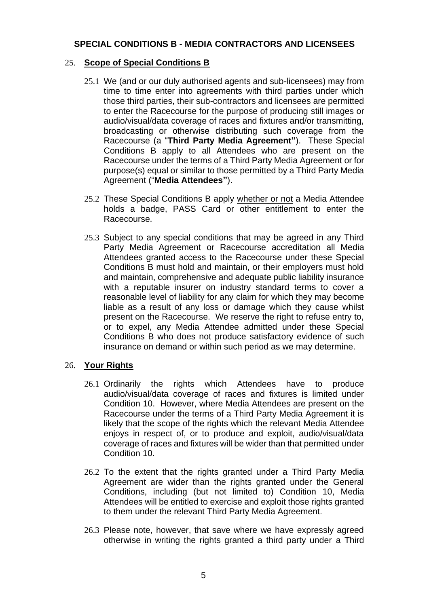## <span id="page-4-0"></span>**SPECIAL CONDITIONS B - MEDIA CONTRACTORS AND LICENSEES**

## <span id="page-4-1"></span>25. **Scope of Special Conditions B**

- 25.1 We (and or our duly authorised agents and sub-licensees) may from time to time enter into agreements with third parties under which those third parties, their sub-contractors and licensees are permitted to enter the Racecourse for the purpose of producing still images or audio/visual/data coverage of races and fixtures and/or transmitting, broadcasting or otherwise distributing such coverage from the Racecourse (a "**Third Party Media Agreement"**). These Special Conditions B apply to all Attendees who are present on the Racecourse under the terms of a Third Party Media Agreement or for purpose(s) equal or similar to those permitted by a Third Party Media Agreement ("**Media Attendees"**).
- 25.2 These Special Conditions B apply whether or not a Media Attendee holds a badge, PASS Card or other entitlement to enter the Racecourse.
- 25.3 Subject to any special conditions that may be agreed in any Third Party Media Agreement or Racecourse accreditation all Media Attendees granted access to the Racecourse under these Special Conditions B must hold and maintain, or their employers must hold and maintain, comprehensive and adequate public liability insurance with a reputable insurer on industry standard terms to cover a reasonable level of liability for any claim for which they may become liable as a result of any loss or damage which they cause whilst present on the Racecourse. We reserve the right to refuse entry to, or to expel, any Media Attendee admitted under these Special Conditions B who does not produce satisfactory evidence of such insurance on demand or within such period as we may determine.

## <span id="page-4-2"></span>26. **Your Rights**

- 26.1 Ordinarily the rights which Attendees have to produce audio/visual/data coverage of races and fixtures is limited under Condition 10. However, where Media Attendees are present on the Racecourse under the terms of a Third Party Media Agreement it is likely that the scope of the rights which the relevant Media Attendee enjoys in respect of, or to produce and exploit, audio/visual/data coverage of races and fixtures will be wider than that permitted under Condition 10.
- 26.2 To the extent that the rights granted under a Third Party Media Agreement are wider than the rights granted under the General Conditions, including (but not limited to) Condition 10, Media Attendees will be entitled to exercise and exploit those rights granted to them under the relevant Third Party Media Agreement.
- 26.3 Please note, however, that save where we have expressly agreed otherwise in writing the rights granted a third party under a Third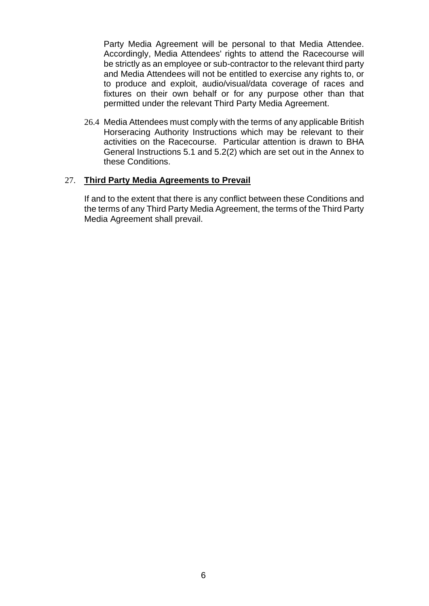Party Media Agreement will be personal to that Media Attendee. Accordingly, Media Attendees' rights to attend the Racecourse will be strictly as an employee or sub-contractor to the relevant third party and Media Attendees will not be entitled to exercise any rights to, or to produce and exploit, audio/visual/data coverage of races and fixtures on their own behalf or for any purpose other than that permitted under the relevant Third Party Media Agreement.

26.4 Media Attendees must comply with the terms of any applicable British Horseracing Authority Instructions which may be relevant to their activities on the Racecourse. Particular attention is drawn to BHA General Instructions 5.1 and 5.2(2) which are set out in the Annex to these Conditions.

#### <span id="page-5-0"></span>27. **Third Party Media Agreements to Prevail**

If and to the extent that there is any conflict between these Conditions and the terms of any Third Party Media Agreement, the terms of the Third Party Media Agreement shall prevail.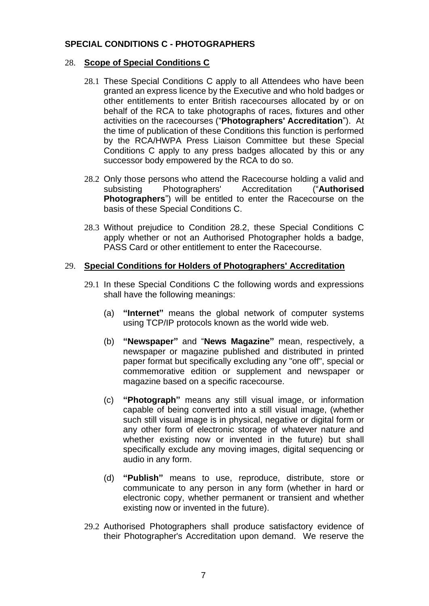## <span id="page-6-0"></span>**SPECIAL CONDITIONS C - PHOTOGRAPHERS**

## <span id="page-6-1"></span>28. **Scope of Special Conditions C**

- 28.1 These Special Conditions C apply to all Attendees who have been granted an express licence by the Executive and who hold badges or other entitlements to enter British racecourses allocated by or on behalf of the RCA to take photographs of races, fixtures and other activities on the racecourses ("**Photographers' Accreditation**"). At the time of publication of these Conditions this function is performed by the RCA/HWPA Press Liaison Committee but these Special Conditions C apply to any press badges allocated by this or any successor body empowered by the RCA to do so.
- 28.2 Only those persons who attend the Racecourse holding a valid and subsisting Photographers' Accreditation ("**Authorised Photographers**") will be entitled to enter the Racecourse on the basis of these Special Conditions C.
- 28.3 Without prejudice to Condition 28.2, these Special Conditions C apply whether or not an Authorised Photographer holds a badge, PASS Card or other entitlement to enter the Racecourse.

#### <span id="page-6-2"></span>29. **Special Conditions for Holders of Photographers' Accreditation**

- 29.1 In these Special Conditions C the following words and expressions shall have the following meanings:
	- (a) **"Internet"** means the global network of computer systems using TCP/IP protocols known as the world wide web.
	- (b) **"Newspaper"** and "**News Magazine"** mean, respectively, a newspaper or magazine published and distributed in printed paper format but specifically excluding any "one off", special or commemorative edition or supplement and newspaper or magazine based on a specific racecourse.
	- (c) **"Photograph"** means any still visual image, or information capable of being converted into a still visual image, (whether such still visual image is in physical, negative or digital form or any other form of electronic storage of whatever nature and whether existing now or invented in the future) but shall specifically exclude any moving images, digital sequencing or audio in any form.
	- (d) **"Publish"** means to use, reproduce, distribute, store or communicate to any person in any form (whether in hard or electronic copy, whether permanent or transient and whether existing now or invented in the future).
- 29.2 Authorised Photographers shall produce satisfactory evidence of their Photographer's Accreditation upon demand. We reserve the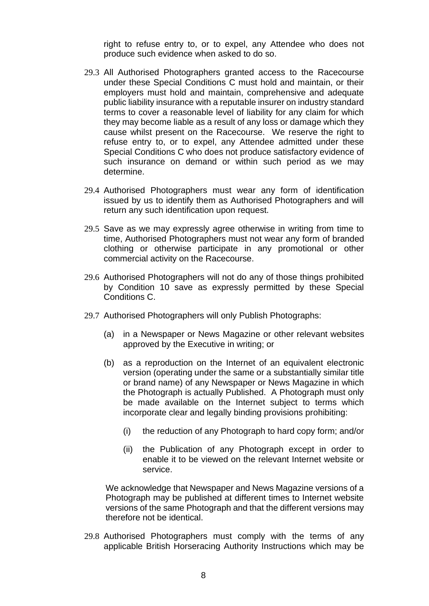right to refuse entry to, or to expel, any Attendee who does not produce such evidence when asked to do so.

- 29.3 All Authorised Photographers granted access to the Racecourse under these Special Conditions C must hold and maintain, or their employers must hold and maintain, comprehensive and adequate public liability insurance with a reputable insurer on industry standard terms to cover a reasonable level of liability for any claim for which they may become liable as a result of any loss or damage which they cause whilst present on the Racecourse. We reserve the right to refuse entry to, or to expel, any Attendee admitted under these Special Conditions C who does not produce satisfactory evidence of such insurance on demand or within such period as we may determine.
- 29.4 Authorised Photographers must wear any form of identification issued by us to identify them as Authorised Photographers and will return any such identification upon request.
- 29.5 Save as we may expressly agree otherwise in writing from time to time, Authorised Photographers must not wear any form of branded clothing or otherwise participate in any promotional or other commercial activity on the Racecourse.
- 29.6 Authorised Photographers will not do any of those things prohibited by Condition 10 save as expressly permitted by these Special Conditions C.
- 29.7 Authorised Photographers will only Publish Photographs:
	- (a) in a Newspaper or News Magazine or other relevant websites approved by the Executive in writing; or
	- (b) as a reproduction on the Internet of an equivalent electronic version (operating under the same or a substantially similar title or brand name) of any Newspaper or News Magazine in which the Photograph is actually Published. A Photograph must only be made available on the Internet subject to terms which incorporate clear and legally binding provisions prohibiting:
		- (i) the reduction of any Photograph to hard copy form; and/or
		- (ii) the Publication of any Photograph except in order to enable it to be viewed on the relevant Internet website or service.

We acknowledge that Newspaper and News Magazine versions of a Photograph may be published at different times to Internet website versions of the same Photograph and that the different versions may therefore not be identical.

29.8 Authorised Photographers must comply with the terms of any applicable British Horseracing Authority Instructions which may be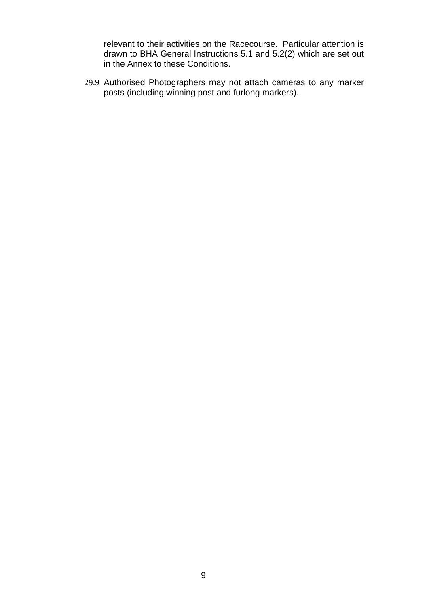relevant to their activities on the Racecourse. Particular attention is drawn to BHA General Instructions 5.1 and 5.2(2) which are set out in the Annex to these Conditions.

29.9 Authorised Photographers may not attach cameras to any marker posts (including winning post and furlong markers).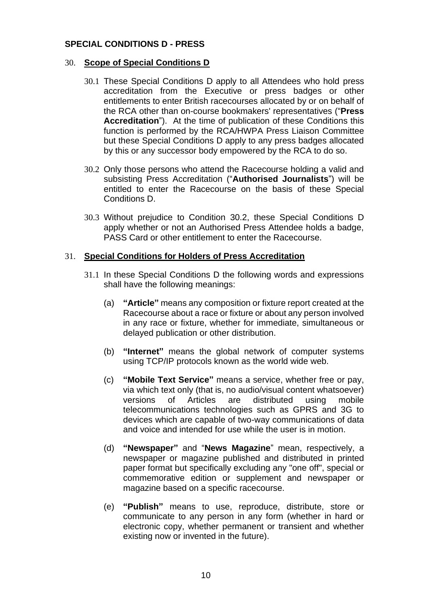## <span id="page-9-0"></span>**SPECIAL CONDITIONS D - PRESS**

### <span id="page-9-1"></span>30. **Scope of Special Conditions D**

- 30.1 These Special Conditions D apply to all Attendees who hold press accreditation from the Executive or press badges or other entitlements to enter British racecourses allocated by or on behalf of the RCA other than on-course bookmakers' representatives ("**Press Accreditation**"). At the time of publication of these Conditions this function is performed by the RCA/HWPA Press Liaison Committee but these Special Conditions D apply to any press badges allocated by this or any successor body empowered by the RCA to do so.
- 30.2 Only those persons who attend the Racecourse holding a valid and subsisting Press Accreditation ("**Authorised Journalists**") will be entitled to enter the Racecourse on the basis of these Special Conditions D.
- 30.3 Without prejudice to Condition 30.2, these Special Conditions D apply whether or not an Authorised Press Attendee holds a badge, PASS Card or other entitlement to enter the Racecourse.

#### <span id="page-9-2"></span>31. **Special Conditions for Holders of Press Accreditation**

- 31.1 In these Special Conditions D the following words and expressions shall have the following meanings:
	- (a) **"Article"** means any composition or fixture report created at the Racecourse about a race or fixture or about any person involved in any race or fixture, whether for immediate, simultaneous or delayed publication or other distribution.
	- (b) **"Internet"** means the global network of computer systems using TCP/IP protocols known as the world wide web.
	- (c) **"Mobile Text Service"** means a service, whether free or pay, via which text only (that is, no audio/visual content whatsoever) versions of Articles are distributed using mobile telecommunications technologies such as GPRS and 3G to devices which are capable of two-way communications of data and voice and intended for use while the user is in motion.
	- (d) **"Newspaper"** and "**News Magazine**" mean, respectively, a newspaper or magazine published and distributed in printed paper format but specifically excluding any "one off", special or commemorative edition or supplement and newspaper or magazine based on a specific racecourse.
	- (e) **"Publish"** means to use, reproduce, distribute, store or communicate to any person in any form (whether in hard or electronic copy, whether permanent or transient and whether existing now or invented in the future).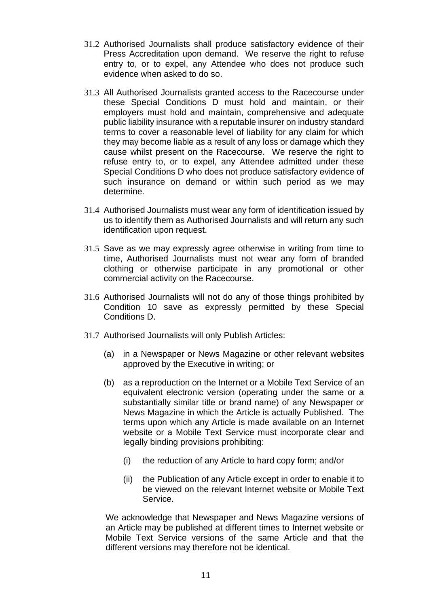- 31.2 Authorised Journalists shall produce satisfactory evidence of their Press Accreditation upon demand. We reserve the right to refuse entry to, or to expel, any Attendee who does not produce such evidence when asked to do so.
- 31.3 All Authorised Journalists granted access to the Racecourse under these Special Conditions D must hold and maintain, or their employers must hold and maintain, comprehensive and adequate public liability insurance with a reputable insurer on industry standard terms to cover a reasonable level of liability for any claim for which they may become liable as a result of any loss or damage which they cause whilst present on the Racecourse. We reserve the right to refuse entry to, or to expel, any Attendee admitted under these Special Conditions D who does not produce satisfactory evidence of such insurance on demand or within such period as we may determine.
- 31.4 Authorised Journalists must wear any form of identification issued by us to identify them as Authorised Journalists and will return any such identification upon request.
- 31.5 Save as we may expressly agree otherwise in writing from time to time, Authorised Journalists must not wear any form of branded clothing or otherwise participate in any promotional or other commercial activity on the Racecourse.
- 31.6 Authorised Journalists will not do any of those things prohibited by Condition 10 save as expressly permitted by these Special Conditions D.
- 31.7 Authorised Journalists will only Publish Articles:
	- (a) in a Newspaper or News Magazine or other relevant websites approved by the Executive in writing; or
	- (b) as a reproduction on the Internet or a Mobile Text Service of an equivalent electronic version (operating under the same or a substantially similar title or brand name) of any Newspaper or News Magazine in which the Article is actually Published. The terms upon which any Article is made available on an Internet website or a Mobile Text Service must incorporate clear and legally binding provisions prohibiting:
		- (i) the reduction of any Article to hard copy form; and/or
		- (ii) the Publication of any Article except in order to enable it to be viewed on the relevant Internet website or Mobile Text Service.

We acknowledge that Newspaper and News Magazine versions of an Article may be published at different times to Internet website or Mobile Text Service versions of the same Article and that the different versions may therefore not be identical.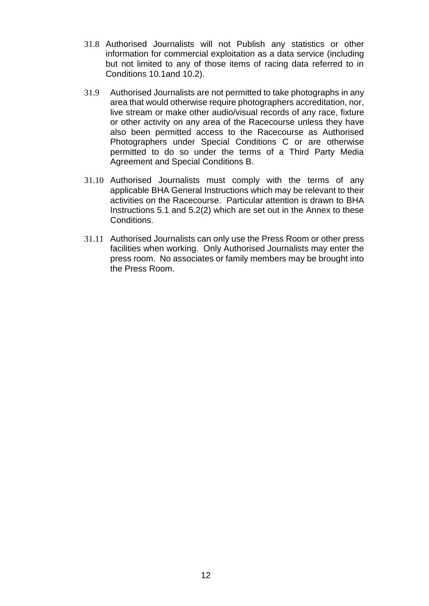- 31.8 Authorised Journalists will not Publish any statistics or other information for commercial exploitation as a data service (including but not limited to any of those items of racing data referred to in Conditions 10.1and 10.2).
- 31.9 Authorised Journalists are not permitted to take photographs in any area that would otherwise require photographers accreditation, nor, live stream or make other audio/visual records of any race, fixture or other activity on any area of the Racecourse unless they have also been permitted access to the Racecourse as Authorised Photographers under Special Conditions C or are otherwise permitted to do so under the terms of a Third Party Media Agreement and Special Conditions B.
- 31.10 Authorised Journalists must comply with the terms of any applicable BHA General Instructions which may be relevant to their activities on the Racecourse. Particular attention is drawn to BHA Instructions 5.1 and 5.2(2) which are set out in the Annex to these Conditions.
- 31.11 Authorised Journalists can only use the Press Room or other press facilities when working. Only Authorised Journalists may enter the press room. No associates or family members may be brought into the Press Room.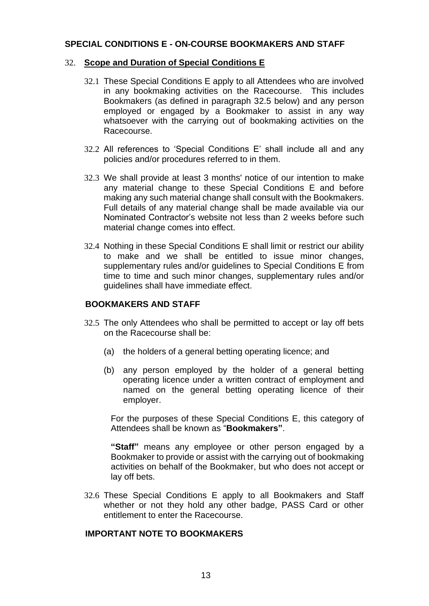### <span id="page-12-0"></span>**SPECIAL CONDITIONS E - ON-COURSE BOOKMAKERS AND STAFF**

#### <span id="page-12-1"></span>32. **Scope and Duration of Special Conditions E**

- 32.1 These Special Conditions E apply to all Attendees who are involved in any bookmaking activities on the Racecourse. This includes Bookmakers (as defined in paragraph 32.5 below) and any person employed or engaged by a Bookmaker to assist in any way whatsoever with the carrying out of bookmaking activities on the Racecourse.
- 32.2 All references to 'Special Conditions E' shall include all and any policies and/or procedures referred to in them.
- 32.3 We shall provide at least 3 months' notice of our intention to make any material change to these Special Conditions E and before making any such material change shall consult with the Bookmakers. Full details of any material change shall be made available via our Nominated Contractor's website not less than 2 weeks before such material change comes into effect.
- 32.4 Nothing in these Special Conditions E shall limit or restrict our ability to make and we shall be entitled to issue minor changes, supplementary rules and/or quidelines to Special Conditions E from time to time and such minor changes, supplementary rules and/or guidelines shall have immediate effect.

## **BOOKMAKERS AND STAFF**

- 32.5 The only Attendees who shall be permitted to accept or lay off bets on the Racecourse shall be:
	- (a) the holders of a general betting operating licence; and
	- (b) any person employed by the holder of a general betting operating licence under a written contract of employment and named on the general betting operating licence of their employer.

For the purposes of these Special Conditions E, this category of Attendees shall be known as "**Bookmakers"**.

**"Staff"** means any employee or other person engaged by a Bookmaker to provide or assist with the carrying out of bookmaking activities on behalf of the Bookmaker, but who does not accept or lay off bets.

32.6 These Special Conditions E apply to all Bookmakers and Staff whether or not they hold any other badge, PASS Card or other entitlement to enter the Racecourse.

## **IMPORTANT NOTE TO BOOKMAKERS**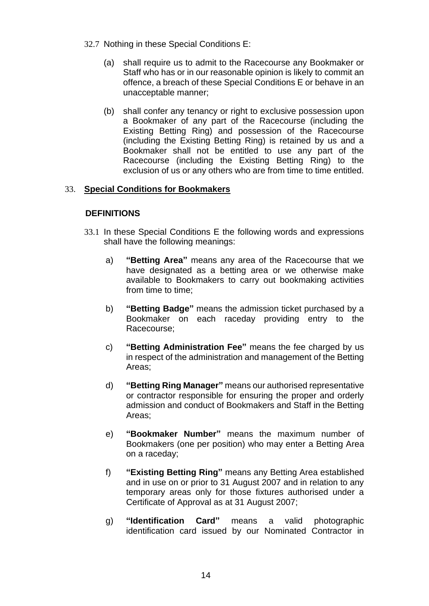- 32.7 Nothing in these Special Conditions E:
	- (a) shall require us to admit to the Racecourse any Bookmaker or Staff who has or in our reasonable opinion is likely to commit an offence, a breach of these Special Conditions E or behave in an unacceptable manner;
	- (b) shall confer any tenancy or right to exclusive possession upon a Bookmaker of any part of the Racecourse (including the Existing Betting Ring) and possession of the Racecourse (including the Existing Betting Ring) is retained by us and a Bookmaker shall not be entitled to use any part of the Racecourse (including the Existing Betting Ring) to the exclusion of us or any others who are from time to time entitled.

## <span id="page-13-0"></span>33. **Special Conditions for Bookmakers**

## **DEFINITIONS**

- 33.1 In these Special Conditions E the following words and expressions shall have the following meanings:
	- a) **"Betting Area"** means any area of the Racecourse that we have designated as a betting area or we otherwise make available to Bookmakers to carry out bookmaking activities from time to time;
	- b) **"Betting Badge"** means the admission ticket purchased by a Bookmaker on each raceday providing entry to the Racecourse;
	- c) **"Betting Administration Fee"** means the fee charged by us in respect of the administration and management of the Betting Areas;
	- d) **"Betting Ring Manager"** means our authorised representative or contractor responsible for ensuring the proper and orderly admission and conduct of Bookmakers and Staff in the Betting Areas;
	- e) **"Bookmaker Number"** means the maximum number of Bookmakers (one per position) who may enter a Betting Area on a raceday;
	- f) **"Existing Betting Ring"** means any Betting Area established and in use on or prior to 31 August 2007 and in relation to any temporary areas only for those fixtures authorised under a Certificate of Approval as at 31 August 2007;
	- g) **"Identification Card"** means a valid photographic identification card issued by our Nominated Contractor in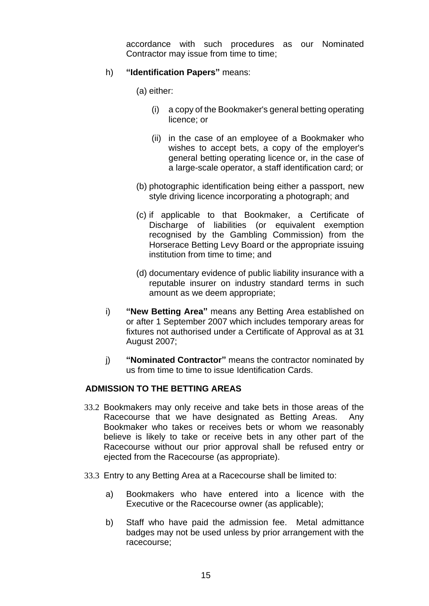accordance with such procedures as our Nominated Contractor may issue from time to time;

## h) **"Identification Papers"** means:

(a) either:

- (i) a copy of the Bookmaker's general betting operating licence; or
- (ii) in the case of an employee of a Bookmaker who wishes to accept bets, a copy of the employer's general betting operating licence or, in the case of a large-scale operator, a staff identification card; or
- (b) photographic identification being either a passport, new style driving licence incorporating a photograph; and
- (c) if applicable to that Bookmaker, a Certificate of Discharge of liabilities (or equivalent exemption recognised by the Gambling Commission) from the Horserace Betting Levy Board or the appropriate issuing institution from time to time; and
- (d) documentary evidence of public liability insurance with a reputable insurer on industry standard terms in such amount as we deem appropriate;
- i) **"New Betting Area"** means any Betting Area established on or after 1 September 2007 which includes temporary areas for fixtures not authorised under a Certificate of Approval as at 31 August 2007;
- j) **"Nominated Contractor"** means the contractor nominated by us from time to time to issue Identification Cards.

# **ADMISSION TO THE BETTING AREAS**

- 33.2 Bookmakers may only receive and take bets in those areas of the Racecourse that we have designated as Betting Areas. Any Bookmaker who takes or receives bets or whom we reasonably believe is likely to take or receive bets in any other part of the Racecourse without our prior approval shall be refused entry or ejected from the Racecourse (as appropriate).
- 33.3 Entry to any Betting Area at a Racecourse shall be limited to:
	- a) Bookmakers who have entered into a licence with the Executive or the Racecourse owner (as applicable);
	- b) Staff who have paid the admission fee. Metal admittance badges may not be used unless by prior arrangement with the racecourse;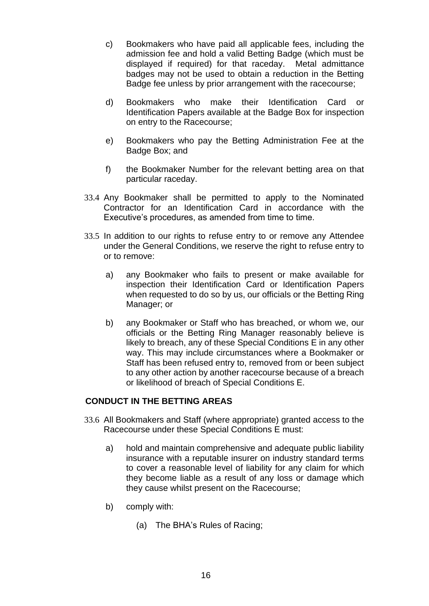- c) Bookmakers who have paid all applicable fees, including the admission fee and hold a valid Betting Badge (which must be displayed if required) for that raceday. Metal admittance badges may not be used to obtain a reduction in the Betting Badge fee unless by prior arrangement with the racecourse;
- d) Bookmakers who make their Identification Card or Identification Papers available at the Badge Box for inspection on entry to the Racecourse;
- e) Bookmakers who pay the Betting Administration Fee at the Badge Box; and
- f) the Bookmaker Number for the relevant betting area on that particular raceday.
- 33.4 Any Bookmaker shall be permitted to apply to the Nominated Contractor for an Identification Card in accordance with the Executive's procedures, as amended from time to time.
- 33.5 In addition to our rights to refuse entry to or remove any Attendee under the General Conditions, we reserve the right to refuse entry to or to remove:
	- a) any Bookmaker who fails to present or make available for inspection their Identification Card or Identification Papers when requested to do so by us, our officials or the Betting Ring Manager; or
	- b) any Bookmaker or Staff who has breached, or whom we, our officials or the Betting Ring Manager reasonably believe is likely to breach, any of these Special Conditions E in any other way. This may include circumstances where a Bookmaker or Staff has been refused entry to, removed from or been subject to any other action by another racecourse because of a breach or likelihood of breach of Special Conditions E.

## **CONDUCT IN THE BETTING AREAS**

- 33.6 All Bookmakers and Staff (where appropriate) granted access to the Racecourse under these Special Conditions E must:
	- a) hold and maintain comprehensive and adequate public liability insurance with a reputable insurer on industry standard terms to cover a reasonable level of liability for any claim for which they become liable as a result of any loss or damage which they cause whilst present on the Racecourse;
	- b) comply with:
		- (a) The BHA's Rules of Racing;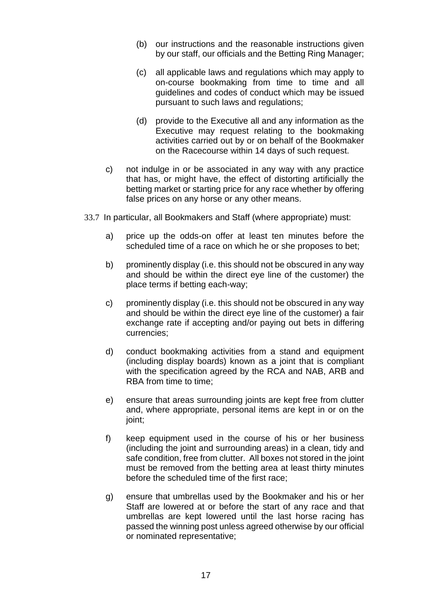- (b) our instructions and the reasonable instructions given by our staff, our officials and the Betting Ring Manager;
- (c) all applicable laws and regulations which may apply to on-course bookmaking from time to time and all guidelines and codes of conduct which may be issued pursuant to such laws and regulations;
- (d) provide to the Executive all and any information as the Executive may request relating to the bookmaking activities carried out by or on behalf of the Bookmaker on the Racecourse within 14 days of such request.
- c) not indulge in or be associated in any way with any practice that has, or might have, the effect of distorting artificially the betting market or starting price for any race whether by offering false prices on any horse or any other means.
- 33.7 In particular, all Bookmakers and Staff (where appropriate) must:
	- a) price up the odds-on offer at least ten minutes before the scheduled time of a race on which he or she proposes to bet;
	- b) prominently display (i.e. this should not be obscured in any way and should be within the direct eye line of the customer) the place terms if betting each-way;
	- c) prominently display (i.e. this should not be obscured in any way and should be within the direct eye line of the customer) a fair exchange rate if accepting and/or paying out bets in differing currencies;
	- d) conduct bookmaking activities from a stand and equipment (including display boards) known as a joint that is compliant with the specification agreed by the RCA and NAB, ARB and RBA from time to time;
	- e) ensure that areas surrounding joints are kept free from clutter and, where appropriate, personal items are kept in or on the joint;
	- f) keep equipment used in the course of his or her business (including the joint and surrounding areas) in a clean, tidy and safe condition, free from clutter. All boxes not stored in the joint must be removed from the betting area at least thirty minutes before the scheduled time of the first race;
	- g) ensure that umbrellas used by the Bookmaker and his or her Staff are lowered at or before the start of any race and that umbrellas are kept lowered until the last horse racing has passed the winning post unless agreed otherwise by our official or nominated representative;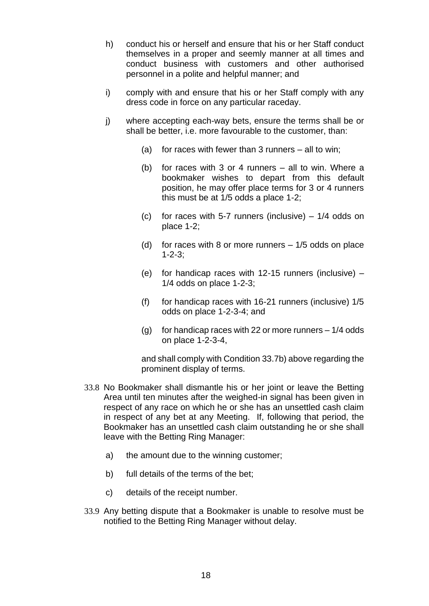- h) conduct his or herself and ensure that his or her Staff conduct themselves in a proper and seemly manner at all times and conduct business with customers and other authorised personnel in a polite and helpful manner; and
- i) comply with and ensure that his or her Staff comply with any dress code in force on any particular raceday.
- j) where accepting each-way bets, ensure the terms shall be or shall be better, i.e. more favourable to the customer, than:
	- (a) for races with fewer than 3 runners all to win;
	- (b) for races with 3 or 4 runners all to win. Where a bookmaker wishes to depart from this default position, he may offer place terms for 3 or 4 runners this must be at 1/5 odds a place 1-2;
	- (c) for races with 5-7 runners (inclusive)  $-1/4$  odds on place 1-2;
	- (d) for races with 8 or more runners  $-1/5$  odds on place 1-2-3;
	- (e) for handicap races with 12-15 runners (inclusive) 1/4 odds on place 1-2-3;
	- (f) for handicap races with 16-21 runners (inclusive) 1/5 odds on place 1-2-3-4; and
	- (g) for handicap races with 22 or more runners  $-1/4$  odds on place 1-2-3-4,

and shall comply with Condition 33.7b) above regarding the prominent display of terms.

- 33.8 No Bookmaker shall dismantle his or her joint or leave the Betting Area until ten minutes after the weighed-in signal has been given in respect of any race on which he or she has an unsettled cash claim in respect of any bet at any Meeting. If, following that period, the Bookmaker has an unsettled cash claim outstanding he or she shall leave with the Betting Ring Manager:
	- a) the amount due to the winning customer;
	- b) full details of the terms of the bet;
	- c) details of the receipt number.
- 33.9 Any betting dispute that a Bookmaker is unable to resolve must be notified to the Betting Ring Manager without delay.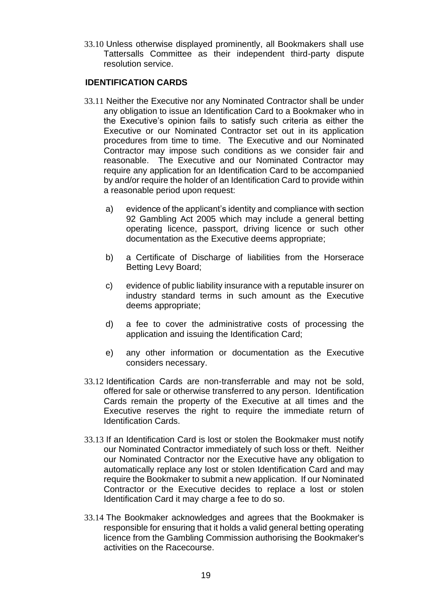33.10 Unless otherwise displayed prominently, all Bookmakers shall use Tattersalls Committee as their independent third-party dispute resolution service.

## **IDENTIFICATION CARDS**

- 33.11 Neither the Executive nor any Nominated Contractor shall be under any obligation to issue an Identification Card to a Bookmaker who in the Executive's opinion fails to satisfy such criteria as either the Executive or our Nominated Contractor set out in its application procedures from time to time. The Executive and our Nominated Contractor may impose such conditions as we consider fair and reasonable. The Executive and our Nominated Contractor may require any application for an Identification Card to be accompanied by and/or require the holder of an Identification Card to provide within a reasonable period upon request:
	- a) evidence of the applicant's identity and compliance with section 92 Gambling Act 2005 which may include a general betting operating licence, passport, driving licence or such other documentation as the Executive deems appropriate;
	- b) a Certificate of Discharge of liabilities from the Horserace Betting Levy Board;
	- c) evidence of public liability insurance with a reputable insurer on industry standard terms in such amount as the Executive deems appropriate;
	- d) a fee to cover the administrative costs of processing the application and issuing the Identification Card;
	- e) any other information or documentation as the Executive considers necessary.
- 33.12 Identification Cards are non-transferrable and may not be sold, offered for sale or otherwise transferred to any person. Identification Cards remain the property of the Executive at all times and the Executive reserves the right to require the immediate return of Identification Cards.
- 33.13 If an Identification Card is lost or stolen the Bookmaker must notify our Nominated Contractor immediately of such loss or theft. Neither our Nominated Contractor nor the Executive have any obligation to automatically replace any lost or stolen Identification Card and may require the Bookmaker to submit a new application. If our Nominated Contractor or the Executive decides to replace a lost or stolen Identification Card it may charge a fee to do so.
- 33.14 The Bookmaker acknowledges and agrees that the Bookmaker is responsible for ensuring that it holds a valid general betting operating licence from the Gambling Commission authorising the Bookmaker's activities on the Racecourse.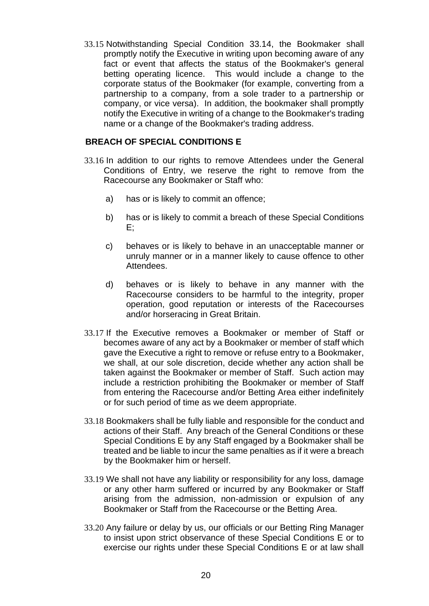33.15 Notwithstanding Special Condition 33.14, the Bookmaker shall promptly notify the Executive in writing upon becoming aware of any fact or event that affects the status of the Bookmaker's general betting operating licence. This would include a change to the corporate status of the Bookmaker (for example, converting from a partnership to a company, from a sole trader to a partnership or company, or vice versa). In addition, the bookmaker shall promptly notify the Executive in writing of a change to the Bookmaker's trading name or a change of the Bookmaker's trading address.

### **BREACH OF SPECIAL CONDITIONS E**

- 33.16 In addition to our rights to remove Attendees under the General Conditions of Entry, we reserve the right to remove from the Racecourse any Bookmaker or Staff who:
	- a) has or is likely to commit an offence;
	- b) has or is likely to commit a breach of these Special Conditions E;
	- c) behaves or is likely to behave in an unacceptable manner or unruly manner or in a manner likely to cause offence to other Attendees.
	- d) behaves or is likely to behave in any manner with the Racecourse considers to be harmful to the integrity, proper operation, good reputation or interests of the Racecourses and/or horseracing in Great Britain.
- 33.17 If the Executive removes a Bookmaker or member of Staff or becomes aware of any act by a Bookmaker or member of staff which gave the Executive a right to remove or refuse entry to a Bookmaker, we shall, at our sole discretion, decide whether any action shall be taken against the Bookmaker or member of Staff. Such action may include a restriction prohibiting the Bookmaker or member of Staff from entering the Racecourse and/or Betting Area either indefinitely or for such period of time as we deem appropriate.
- 33.18 Bookmakers shall be fully liable and responsible for the conduct and actions of their Staff. Any breach of the General Conditions or these Special Conditions E by any Staff engaged by a Bookmaker shall be treated and be liable to incur the same penalties as if it were a breach by the Bookmaker him or herself.
- 33.19 We shall not have any liability or responsibility for any loss, damage or any other harm suffered or incurred by any Bookmaker or Staff arising from the admission, non-admission or expulsion of any Bookmaker or Staff from the Racecourse or the Betting Area.
- 33.20 Any failure or delay by us, our officials or our Betting Ring Manager to insist upon strict observance of these Special Conditions E or to exercise our rights under these Special Conditions E or at law shall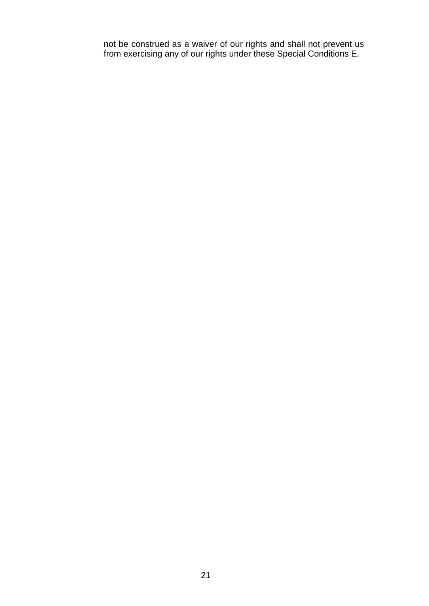not be construed as a waiver of our rights and shall not prevent us from exercising any of our rights under these Special Conditions E.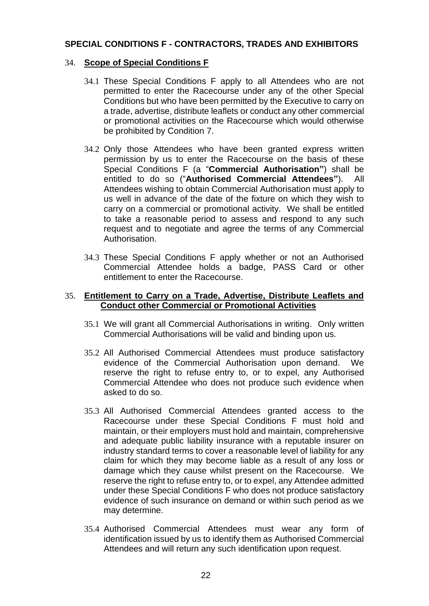## **SPECIAL CONDITIONS F - CONTRACTORS, TRADES AND EXHIBITORS**

## <span id="page-21-0"></span>34. **Scope of Special Conditions F**

- 34.1 These Special Conditions F apply to all Attendees who are not permitted to enter the Racecourse under any of the other Special Conditions but who have been permitted by the Executive to carry on a trade, advertise, distribute leaflets or conduct any other commercial or promotional activities on the Racecourse which would otherwise be prohibited by Condition 7.
- 34.2 Only those Attendees who have been granted express written permission by us to enter the Racecourse on the basis of these Special Conditions F (a "**Commercial Authorisation"**) shall be entitled to do so ("**Authorised Commercial Attendees"**). All Attendees wishing to obtain Commercial Authorisation must apply to us well in advance of the date of the fixture on which they wish to carry on a commercial or promotional activity. We shall be entitled to take a reasonable period to assess and respond to any such request and to negotiate and agree the terms of any Commercial Authorisation.
- 34.3 These Special Conditions F apply whether or not an Authorised Commercial Attendee holds a badge, PASS Card or other entitlement to enter the Racecourse.

#### <span id="page-21-1"></span>35. **Entitlement to Carry on a Trade, Advertise, Distribute Leaflets and Conduct other Commercial or Promotional Activities**

- 35.1 We will grant all Commercial Authorisations in writing. Only written Commercial Authorisations will be valid and binding upon us.
- 35.2 All Authorised Commercial Attendees must produce satisfactory evidence of the Commercial Authorisation upon demand. We reserve the right to refuse entry to, or to expel, any Authorised Commercial Attendee who does not produce such evidence when asked to do so.
- 35.3 All Authorised Commercial Attendees granted access to the Racecourse under these Special Conditions F must hold and maintain, or their employers must hold and maintain, comprehensive and adequate public liability insurance with a reputable insurer on industry standard terms to cover a reasonable level of liability for any claim for which they may become liable as a result of any loss or damage which they cause whilst present on the Racecourse. We reserve the right to refuse entry to, or to expel, any Attendee admitted under these Special Conditions F who does not produce satisfactory evidence of such insurance on demand or within such period as we may determine.
- 35.4 Authorised Commercial Attendees must wear any form of identification issued by us to identify them as Authorised Commercial Attendees and will return any such identification upon request.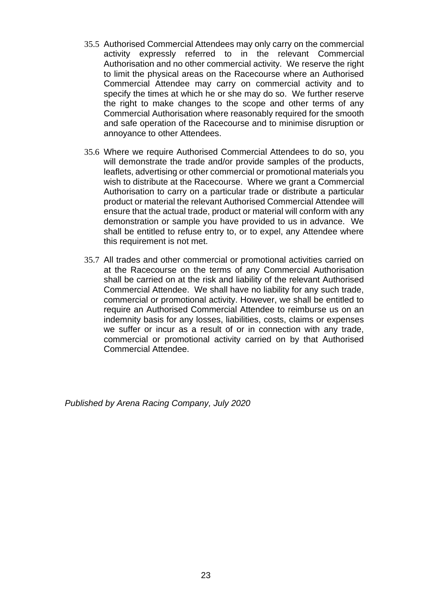- 35.5 Authorised Commercial Attendees may only carry on the commercial activity expressly referred to in the relevant Commercial Authorisation and no other commercial activity. We reserve the right to limit the physical areas on the Racecourse where an Authorised Commercial Attendee may carry on commercial activity and to specify the times at which he or she may do so. We further reserve the right to make changes to the scope and other terms of any Commercial Authorisation where reasonably required for the smooth and safe operation of the Racecourse and to minimise disruption or annoyance to other Attendees.
- 35.6 Where we require Authorised Commercial Attendees to do so, you will demonstrate the trade and/or provide samples of the products, leaflets, advertising or other commercial or promotional materials you wish to distribute at the Racecourse. Where we grant a Commercial Authorisation to carry on a particular trade or distribute a particular product or material the relevant Authorised Commercial Attendee will ensure that the actual trade, product or material will conform with any demonstration or sample you have provided to us in advance. We shall be entitled to refuse entry to, or to expel, any Attendee where this requirement is not met.
- 35.7 All trades and other commercial or promotional activities carried on at the Racecourse on the terms of any Commercial Authorisation shall be carried on at the risk and liability of the relevant Authorised Commercial Attendee. We shall have no liability for any such trade, commercial or promotional activity. However, we shall be entitled to require an Authorised Commercial Attendee to reimburse us on an indemnity basis for any losses, liabilities, costs, claims or expenses we suffer or incur as a result of or in connection with any trade, commercial or promotional activity carried on by that Authorised Commercial Attendee.

*Published by Arena Racing Company, July 2020*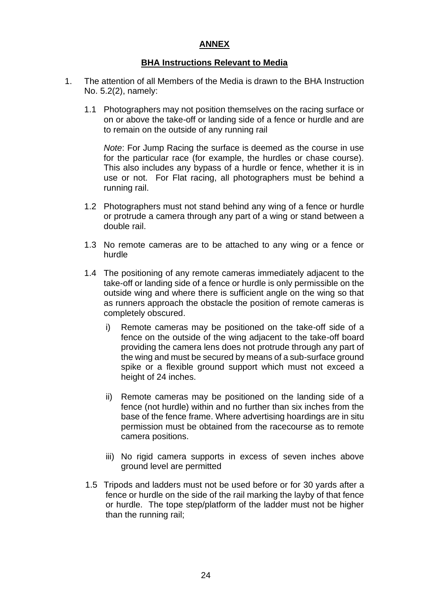# **ANNEX**

# **BHA Instructions Relevant to Media**

- <span id="page-23-0"></span>1. The attention of all Members of the Media is drawn to the BHA Instruction No. 5.2(2), namely:
	- 1.1 Photographers may not position themselves on the racing surface or on or above the take-off or landing side of a fence or hurdle and are to remain on the outside of any running rail

*Note*: For Jump Racing the surface is deemed as the course in use for the particular race (for example, the hurdles or chase course). This also includes any bypass of a hurdle or fence, whether it is in use or not. For Flat racing, all photographers must be behind a running rail.

- 1.2 Photographers must not stand behind any wing of a fence or hurdle or protrude a camera through any part of a wing or stand between a double rail.
- 1.3 No remote cameras are to be attached to any wing or a fence or hurdle
- 1.4 The positioning of any remote cameras immediately adjacent to the take-off or landing side of a fence or hurdle is only permissible on the outside wing and where there is sufficient angle on the wing so that as runners approach the obstacle the position of remote cameras is completely obscured.
	- i) Remote cameras may be positioned on the take-off side of a fence on the outside of the wing adjacent to the take-off board providing the camera lens does not protrude through any part of the wing and must be secured by means of a sub-surface ground spike or a flexible ground support which must not exceed a height of 24 inches.
	- ii) Remote cameras may be positioned on the landing side of a fence (not hurdle) within and no further than six inches from the base of the fence frame. Where advertising hoardings are in situ permission must be obtained from the racecourse as to remote camera positions.
	- iii) No rigid camera supports in excess of seven inches above ground level are permitted
- 1.5 Tripods and ladders must not be used before or for 30 yards after a fence or hurdle on the side of the rail marking the layby of that fence or hurdle. The tope step/platform of the ladder must not be higher than the running rail;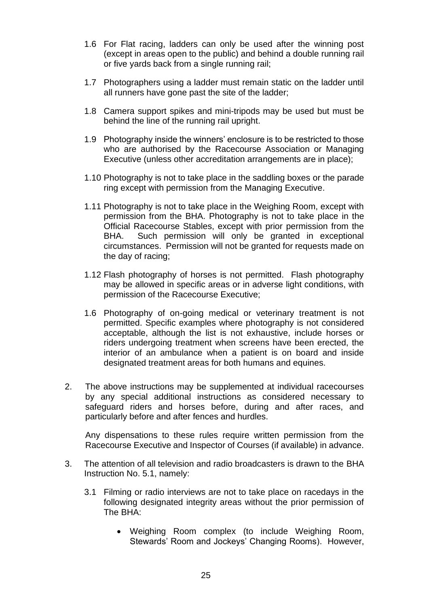- 1.6 For Flat racing, ladders can only be used after the winning post (except in areas open to the public) and behind a double running rail or five yards back from a single running rail;
- 1.7 Photographers using a ladder must remain static on the ladder until all runners have gone past the site of the ladder;
- 1.8 Camera support spikes and mini-tripods may be used but must be behind the line of the running rail upright.
- 1.9 Photography inside the winners' enclosure is to be restricted to those who are authorised by the Racecourse Association or Managing Executive (unless other accreditation arrangements are in place);
- 1.10 Photography is not to take place in the saddling boxes or the parade ring except with permission from the Managing Executive.
- 1.11 Photography is not to take place in the Weighing Room, except with permission from the BHA. Photography is not to take place in the Official Racecourse Stables, except with prior permission from the BHA. Such permission will only be granted in exceptional circumstances. Permission will not be granted for requests made on the day of racing;
- 1.12 Flash photography of horses is not permitted. Flash photography may be allowed in specific areas or in adverse light conditions, with permission of the Racecourse Executive;
- 1.6 Photography of on-going medical or veterinary treatment is not permitted. Specific examples where photography is not considered acceptable, although the list is not exhaustive, include horses or riders undergoing treatment when screens have been erected, the interior of an ambulance when a patient is on board and inside designated treatment areas for both humans and equines.
- 2. The above instructions may be supplemented at individual racecourses by any special additional instructions as considered necessary to safeguard riders and horses before, during and after races, and particularly before and after fences and hurdles.

Any dispensations to these rules require written permission from the Racecourse Executive and Inspector of Courses (if available) in advance.

- 3. The attention of all television and radio broadcasters is drawn to the BHA Instruction No. 5.1, namely:
	- 3.1 Filming or radio interviews are not to take place on racedays in the following designated integrity areas without the prior permission of The BHA:
		- Weighing Room complex (to include Weighing Room, Stewards' Room and Jockeys' Changing Rooms). However,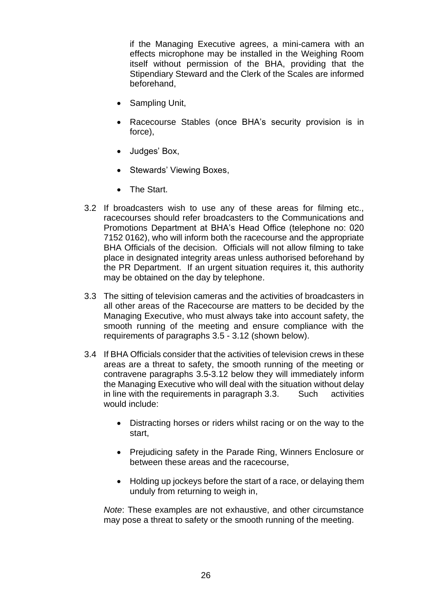if the Managing Executive agrees, a mini-camera with an effects microphone may be installed in the Weighing Room itself without permission of the BHA, providing that the Stipendiary Steward and the Clerk of the Scales are informed beforehand,

- Sampling Unit,
- Racecourse Stables (once BHA's security provision is in force),
- Judges' Box,
- Stewards' Viewing Boxes,
- The Start.
- 3.2 If broadcasters wish to use any of these areas for filming etc., racecourses should refer broadcasters to the Communications and Promotions Department at BHA's Head Office (telephone no: 020 7152 0162), who will inform both the racecourse and the appropriate BHA Officials of the decision. Officials will not allow filming to take place in designated integrity areas unless authorised beforehand by the PR Department. If an urgent situation requires it, this authority may be obtained on the day by telephone.
- 3.3 The sitting of television cameras and the activities of broadcasters in all other areas of the Racecourse are matters to be decided by the Managing Executive, who must always take into account safety, the smooth running of the meeting and ensure compliance with the requirements of paragraphs 3.5 - 3.12 (shown below).
- 3.4 If BHA Officials consider that the activities of television crews in these areas are a threat to safety, the smooth running of the meeting or contravene paragraphs 3.5-3.12 below they will immediately inform the Managing Executive who will deal with the situation without delay in line with the requirements in paragraph 3.3. Such activities would include:
	- Distracting horses or riders whilst racing or on the way to the start,
	- Prejudicing safety in the Parade Ring, Winners Enclosure or between these areas and the racecourse,
	- Holding up jockeys before the start of a race, or delaying them unduly from returning to weigh in,

*Note*: These examples are not exhaustive, and other circumstance may pose a threat to safety or the smooth running of the meeting.